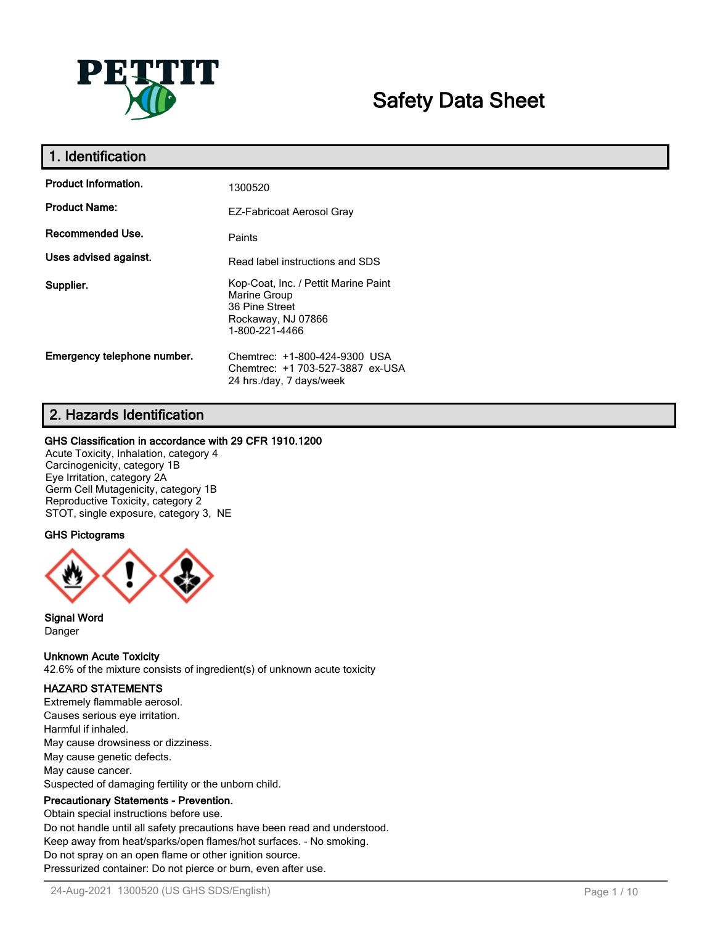

# **Safety Data Sheet**

| 1. Identification           |                                                                                                                |
|-----------------------------|----------------------------------------------------------------------------------------------------------------|
| <b>Product Information.</b> | 1300520                                                                                                        |
| <b>Product Name:</b>        | EZ-Fabricoat Aerosol Gray                                                                                      |
| Recommended Use.            | Paints                                                                                                         |
| Uses advised against.       | Read label instructions and SDS                                                                                |
| Supplier.                   | Kop-Coat, Inc. / Pettit Marine Paint<br>Marine Group<br>36 Pine Street<br>Rockaway, NJ 07866<br>1-800-221-4466 |
| Emergency telephone number. | Chemtrec: +1-800-424-9300 USA<br>Chemtrec: +1 703-527-3887 ex-USA<br>24 hrs./day, 7 days/week                  |

### **2. Hazards Identification**

#### **GHS Classification in accordance with 29 CFR 1910.1200**

Acute Toxicity, Inhalation, category 4 Carcinogenicity, category 1B Eye Irritation, category 2A Germ Cell Mutagenicity, category 1B Reproductive Toxicity, category 2 STOT, single exposure, category 3, NE

### **GHS Pictograms**



**Signal Word** Danger

**Unknown Acute Toxicity**

42.6% of the mixture consists of ingredient(s) of unknown acute toxicity

### **HAZARD STATEMENTS**

Extremely flammable aerosol. Causes serious eye irritation. Harmful if inhaled. May cause drowsiness or dizziness. May cause genetic defects. May cause cancer. Suspected of damaging fertility or the unborn child.

### **Precautionary Statements - Prevention.**

Obtain special instructions before use. Do not handle until all safety precautions have been read and understood. Keep away from heat/sparks/open flames/hot surfaces. - No smoking. Do not spray on an open flame or other ignition source. Pressurized container: Do not pierce or burn, even after use.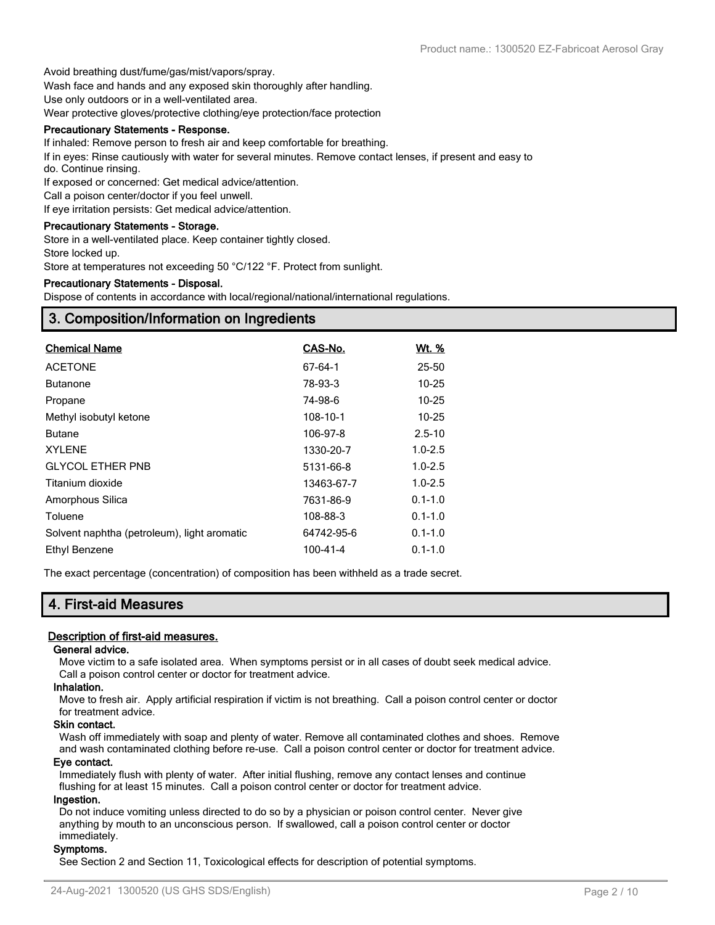Avoid breathing dust/fume/gas/mist/vapors/spray.

Wash face and hands and any exposed skin thoroughly after handling.

Use only outdoors or in a well-ventilated area.

Wear protective gloves/protective clothing/eye protection/face protection

#### **Precautionary Statements - Response.**

If inhaled: Remove person to fresh air and keep comfortable for breathing.

If in eyes: Rinse cautiously with water for several minutes. Remove contact lenses, if present and easy to do. Continue rinsing.

If exposed or concerned: Get medical advice/attention.

Call a poison center/doctor if you feel unwell.

If eye irritation persists: Get medical advice/attention.

#### **Precautionary Statements - Storage.**

Store in a well-ventilated place. Keep container tightly closed.

Store locked up.

Store at temperatures not exceeding 50 °C/122 °F. Protect from sunlight.

#### **Precautionary Statements - Disposal.**

Dispose of contents in accordance with local/regional/national/international regulations.

### **3. Composition/Information on Ingredients**

| <b>Chemical Name</b>                        | CAS-No.    | <u>Wt. %</u> |
|---------------------------------------------|------------|--------------|
| <b>ACETONE</b>                              | 67-64-1    | 25-50        |
| <b>Butanone</b>                             | 78-93-3    | $10 - 25$    |
| Propane                                     | 74-98-6    | $10 - 25$    |
| Methyl isobutyl ketone                      | 108-10-1   | $10 - 25$    |
| <b>Butane</b>                               | 106-97-8   | $2.5 - 10$   |
| <b>XYLENE</b>                               | 1330-20-7  | $1.0 - 2.5$  |
| <b>GLYCOL ETHER PNB</b>                     | 5131-66-8  | $1.0 - 2.5$  |
| Titanium dioxide                            | 13463-67-7 | $1.0 - 2.5$  |
| Amorphous Silica                            | 7631-86-9  | $0.1 - 1.0$  |
| Toluene                                     | 108-88-3   | $0.1 - 1.0$  |
| Solvent naphtha (petroleum), light aromatic | 64742-95-6 | $0.1 - 1.0$  |
| Ethyl Benzene                               | 100-41-4   | $0.1 - 1.0$  |

The exact percentage (concentration) of composition has been withheld as a trade secret.

### **4. First-aid Measures**

#### **Description of first-aid measures.**

#### **General advice.**

Move victim to a safe isolated area. When symptoms persist or in all cases of doubt seek medical advice. Call a poison control center or doctor for treatment advice.

#### **Inhalation.**

Move to fresh air. Apply artificial respiration if victim is not breathing. Call a poison control center or doctor for treatment advice.

#### **Skin contact.**

Wash off immediately with soap and plenty of water. Remove all contaminated clothes and shoes. Remove and wash contaminated clothing before re-use. Call a poison control center or doctor for treatment advice.

#### **Eye contact.**

Immediately flush with plenty of water. After initial flushing, remove any contact lenses and continue flushing for at least 15 minutes. Call a poison control center or doctor for treatment advice.

#### **Ingestion.**

Do not induce vomiting unless directed to do so by a physician or poison control center. Never give anything by mouth to an unconscious person. If swallowed, call a poison control center or doctor immediately.

#### **Symptoms.**

See Section 2 and Section 11, Toxicological effects for description of potential symptoms.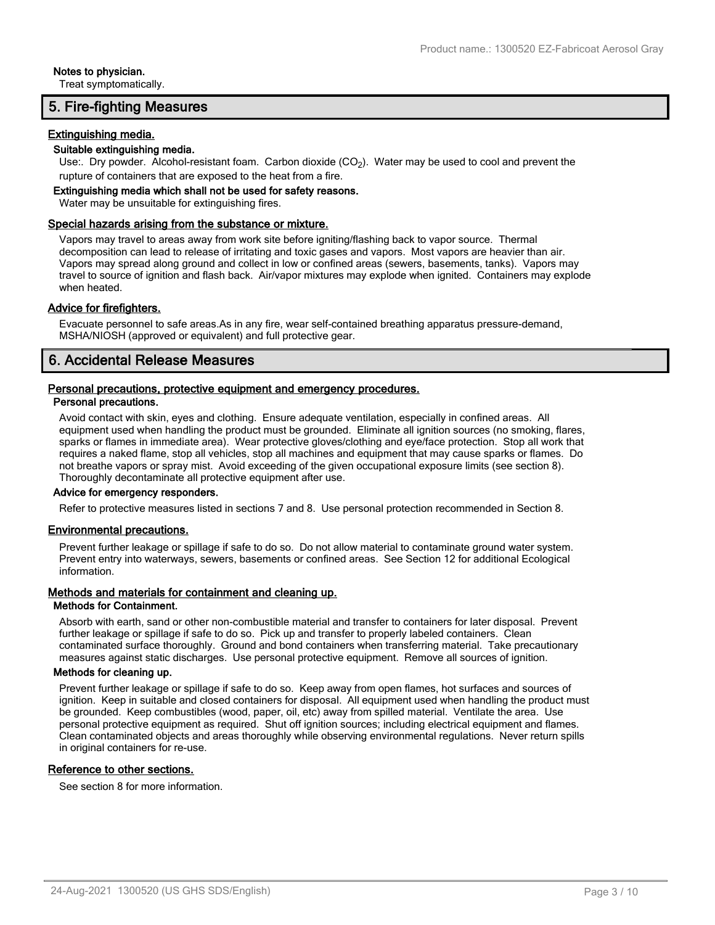#### **Notes to physician.**

Treat symptomatically.

### **5. Fire-fighting Measures**

#### **Extinguishing media.**

#### **Suitable extinguishing media.**

Use:. Dry powder. Alcohol-resistant foam. Carbon dioxide  $(CO<sub>2</sub>)$ . Water may be used to cool and prevent the rupture of containers that are exposed to the heat from a fire.

#### **Extinguishing media which shall not be used for safety reasons.**

Water may be unsuitable for extinguishing fires.

#### **Special hazards arising from the substance or mixture.**

Vapors may travel to areas away from work site before igniting/flashing back to vapor source. Thermal decomposition can lead to release of irritating and toxic gases and vapors. Most vapors are heavier than air. Vapors may spread along ground and collect in low or confined areas (sewers, basements, tanks). Vapors may travel to source of ignition and flash back. Air/vapor mixtures may explode when ignited. Containers may explode when heated.

#### **Advice for firefighters.**

Evacuate personnel to safe areas.As in any fire, wear self-contained breathing apparatus pressure-demand, MSHA/NIOSH (approved or equivalent) and full protective gear.

### **6. Accidental Release Measures**

#### **Personal precautions, protective equipment and emergency procedures. Personal precautions.**

Avoid contact with skin, eyes and clothing. Ensure adequate ventilation, especially in confined areas. All equipment used when handling the product must be grounded. Eliminate all ignition sources (no smoking, flares, sparks or flames in immediate area). Wear protective gloves/clothing and eye/face protection. Stop all work that requires a naked flame, stop all vehicles, stop all machines and equipment that may cause sparks or flames. Do not breathe vapors or spray mist. Avoid exceeding of the given occupational exposure limits (see section 8). Thoroughly decontaminate all protective equipment after use.

#### **Advice for emergency responders.**

Refer to protective measures listed in sections 7 and 8. Use personal protection recommended in Section 8.

#### **Environmental precautions.**

Prevent further leakage or spillage if safe to do so. Do not allow material to contaminate ground water system. Prevent entry into waterways, sewers, basements or confined areas. See Section 12 for additional Ecological information.

#### **Methods and materials for containment and cleaning up.**

#### **Methods for Containment.**

Absorb with earth, sand or other non-combustible material and transfer to containers for later disposal. Prevent further leakage or spillage if safe to do so. Pick up and transfer to properly labeled containers. Clean contaminated surface thoroughly. Ground and bond containers when transferring material. Take precautionary measures against static discharges. Use personal protective equipment. Remove all sources of ignition.

#### **Methods for cleaning up.**

Prevent further leakage or spillage if safe to do so. Keep away from open flames, hot surfaces and sources of ignition. Keep in suitable and closed containers for disposal. All equipment used when handling the product must be grounded. Keep combustibles (wood, paper, oil, etc) away from spilled material. Ventilate the area. Use personal protective equipment as required. Shut off ignition sources; including electrical equipment and flames. Clean contaminated objects and areas thoroughly while observing environmental regulations. Never return spills in original containers for re-use.

#### **Reference to other sections.**

See section 8 for more information.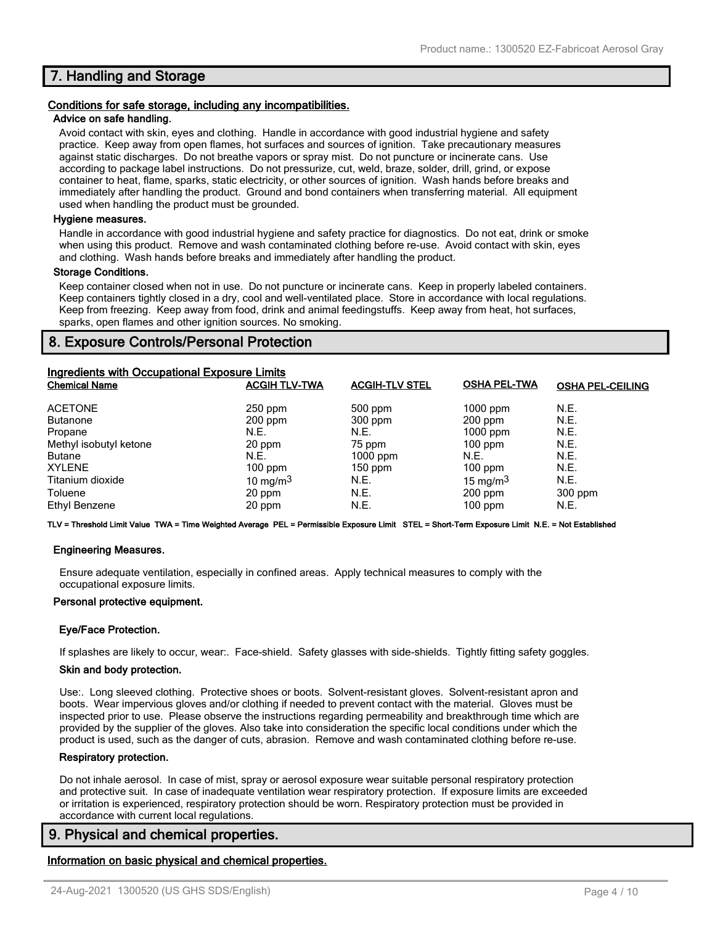### **7. Handling and Storage**

#### **Conditions for safe storage, including any incompatibilities.**

#### **Advice on safe handling.**

Avoid contact with skin, eyes and clothing. Handle in accordance with good industrial hygiene and safety practice. Keep away from open flames, hot surfaces and sources of ignition. Take precautionary measures against static discharges. Do not breathe vapors or spray mist. Do not puncture or incinerate cans. Use according to package label instructions. Do not pressurize, cut, weld, braze, solder, drill, grind, or expose container to heat, flame, sparks, static electricity, or other sources of ignition. Wash hands before breaks and immediately after handling the product. Ground and bond containers when transferring material. All equipment used when handling the product must be grounded.

#### **Hygiene measures.**

Handle in accordance with good industrial hygiene and safety practice for diagnostics. Do not eat, drink or smoke when using this product. Remove and wash contaminated clothing before re-use. Avoid contact with skin, eyes and clothing. Wash hands before breaks and immediately after handling the product.

#### **Storage Conditions.**

Keep container closed when not in use. Do not puncture or incinerate cans. Keep in properly labeled containers. Keep containers tightly closed in a dry, cool and well-ventilated place. Store in accordance with local regulations. Keep from freezing. Keep away from food, drink and animal feedingstuffs. Keep away from heat, hot surfaces, sparks, open flames and other ignition sources. No smoking.

### **8. Exposure Controls/Personal Protection**

| <b>Ingredients with Occupational Exposure Limits</b><br><b>Chemical Name</b>                                                 | <b>ACGIH TLV-TWA</b>                                                         | <b>ACGIH-TLV STEL</b>                                                               | <b>OSHA PEL-TWA</b>                                                                    | <b>OSHA PEL-CEILING</b>                              |
|------------------------------------------------------------------------------------------------------------------------------|------------------------------------------------------------------------------|-------------------------------------------------------------------------------------|----------------------------------------------------------------------------------------|------------------------------------------------------|
| <b>ACETONE</b><br><b>Butanone</b><br>Propane<br>Methyl isobutyl ketone<br><b>Butane</b><br><b>XYLENE</b><br>Titanium dioxide | $250$ ppm<br>$200$ ppm<br>N.E.<br>20 ppm<br>N.E.<br>$100$ ppm<br>10 mg/m $3$ | $500$ ppm<br>$300$ ppm<br>N.E.<br>75 ppm<br>$1000$ ppm<br>$150$ ppm<br>N.E.<br>N.E. | $1000$ ppm<br>$200$ ppm<br>$1000$ ppm<br>$100$ ppm<br>N.E.<br>$100$ ppm<br>15 mg/m $3$ | N.E.<br>N.E.<br>N.E.<br>N.E.<br>N.E.<br>N.E.<br>N.E. |
| Toluene<br>Ethyl Benzene                                                                                                     | 20 ppm<br>20 ppm                                                             | N.E.                                                                                | $200$ ppm<br>$100$ ppm                                                                 | $300$ ppm<br>N.E.                                    |

**TLV = Threshold Limit Value TWA = Time Weighted Average PEL = Permissible Exposure Limit STEL = Short-Term Exposure Limit N.E. = Not Established**

#### **Engineering Measures.**

Ensure adequate ventilation, especially in confined areas. Apply technical measures to comply with the occupational exposure limits.

#### **Personal protective equipment.**

#### **Eye/Face Protection.**

If splashes are likely to occur, wear:. Face-shield. Safety glasses with side-shields. Tightly fitting safety goggles.

#### **Skin and body protection.**

Use:. Long sleeved clothing. Protective shoes or boots. Solvent-resistant gloves. Solvent-resistant apron and boots. Wear impervious gloves and/or clothing if needed to prevent contact with the material. Gloves must be inspected prior to use. Please observe the instructions regarding permeability and breakthrough time which are provided by the supplier of the gloves. Also take into consideration the specific local conditions under which the product is used, such as the danger of cuts, abrasion. Remove and wash contaminated clothing before re-use.

#### **Respiratory protection.**

Do not inhale aerosol. In case of mist, spray or aerosol exposure wear suitable personal respiratory protection and protective suit. In case of inadequate ventilation wear respiratory protection. If exposure limits are exceeded or irritation is experienced, respiratory protection should be worn. Respiratory protection must be provided in accordance with current local regulations.

### **9. Physical and chemical properties.**

#### **Information on basic physical and chemical properties.**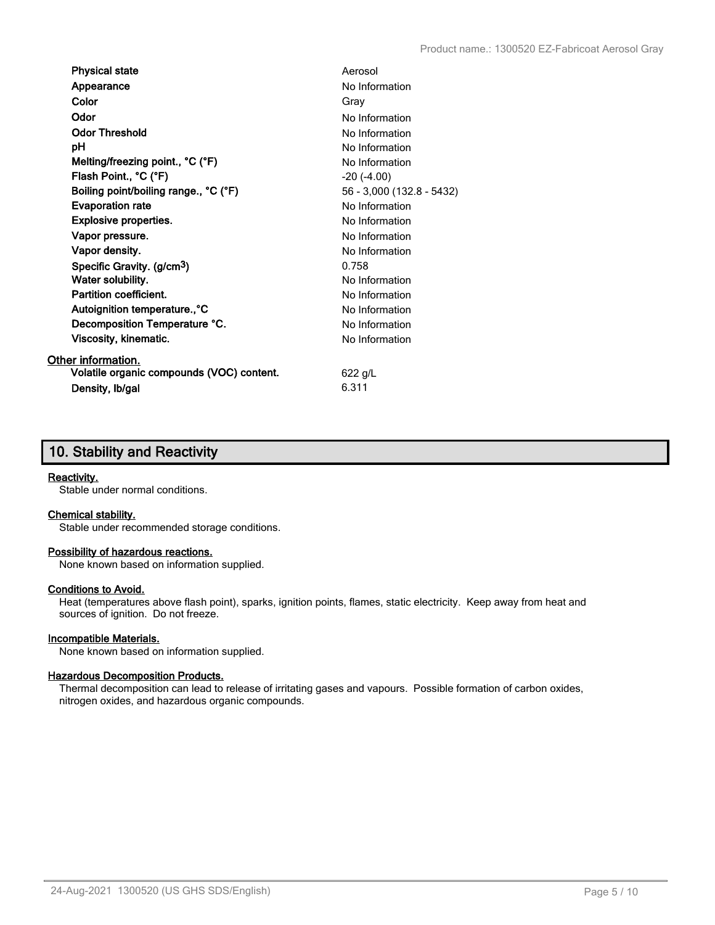| <b>Physical state</b>                     | Aerosol                   |
|-------------------------------------------|---------------------------|
| Appearance                                | No Information            |
| Color                                     | Gray                      |
| Odor                                      | No Information            |
| <b>Odor Threshold</b>                     | No Information            |
| рH                                        | No Information            |
| Melting/freezing point., °C (°F)          | No Information            |
| Flash Point., °C (°F)                     | $-20$ $(-4.00)$           |
| Boiling point/boiling range., °C (°F)     | 56 - 3,000 (132.8 - 5432) |
| <b>Evaporation rate</b>                   | No Information            |
| <b>Explosive properties.</b>              | No Information            |
| Vapor pressure.                           | No Information            |
| Vapor density.                            | No Information            |
| Specific Gravity. (g/cm <sup>3</sup> )    | 0.758                     |
| Water solubility.                         | No Information            |
| Partition coefficient.                    | No Information            |
| Autoignition temperature., °C             | No Information            |
| Decomposition Temperature °C.             | No Information            |
| Viscosity, kinematic.                     | No Information            |
| Other information.                        |                           |
| Volatile organic compounds (VOC) content. | 622 g/L                   |
| Density, Ib/gal                           | 6.311                     |

### **10. Stability and Reactivity**

#### **Reactivity.**

Stable under normal conditions.

#### **Chemical stability.**

Stable under recommended storage conditions.

#### **Possibility of hazardous reactions.**

None known based on information supplied.

#### **Conditions to Avoid.**

Heat (temperatures above flash point), sparks, ignition points, flames, static electricity. Keep away from heat and sources of ignition. Do not freeze.

#### **Incompatible Materials.**

None known based on information supplied.

#### **Hazardous Decomposition Products.**

Thermal decomposition can lead to release of irritating gases and vapours. Possible formation of carbon oxides, nitrogen oxides, and hazardous organic compounds.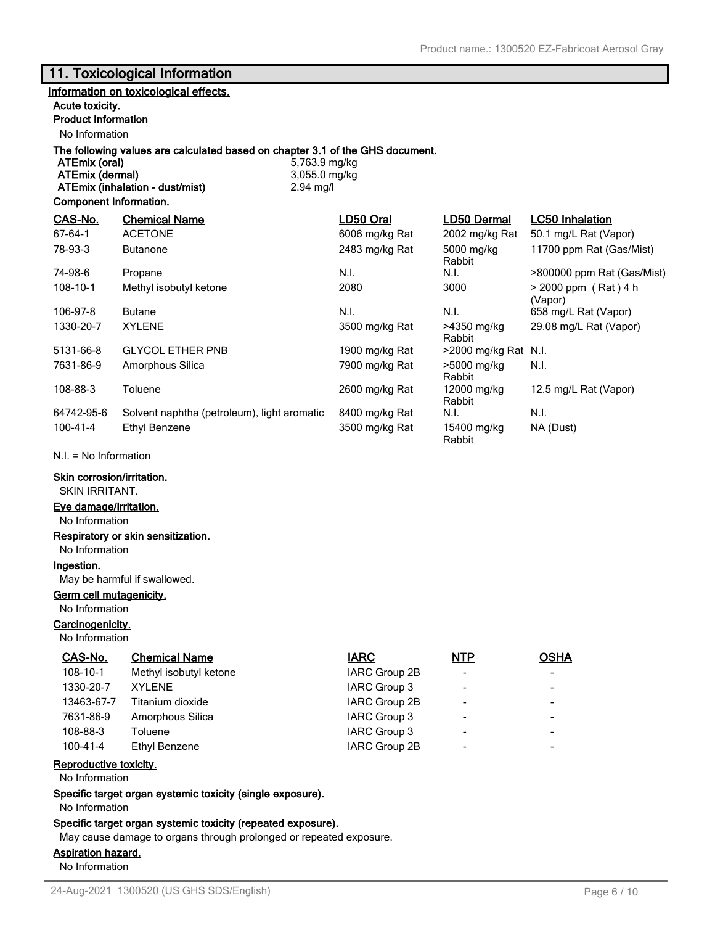### **11. Toxicological Information**

#### **Information on toxicological effects.**

#### **Acute toxicity.**

### **Product Information**

No Information

# **The following values are calculated based on chapter 3.1 of the GHS document.**

**ATEmix (dermal)** 3,055.0 mg/kg **ATEmix (inhalation - dust/mist)** 2.94 mg/l

**ATEmix (oral)** 5,763.9 mg/kg

#### **Component Information.**

| CAS-No.    | <b>Chemical Name</b>                        | LD50 Oral      | LD50 Dermal           | LC50 Inhalation                   |
|------------|---------------------------------------------|----------------|-----------------------|-----------------------------------|
| $67-64-1$  | <b>ACETONE</b>                              | 6006 mg/kg Rat | 2002 mg/kg Rat        | 50.1 mg/L Rat (Vapor)             |
| 78-93-3    | <b>Butanone</b>                             | 2483 mg/kg Rat | 5000 mg/kg<br>Rabbit  | 11700 ppm Rat (Gas/Mist)          |
| 74-98-6    | Propane                                     | N.I.           | N.I.                  | >800000 ppm Rat (Gas/Mist)        |
| 108-10-1   | Methyl isobutyl ketone                      | 2080           | 3000                  | $> 2000$ ppm (Rat) 4 h<br>(Vapor) |
| 106-97-8   | <b>Butane</b>                               | N.I.           | N.I.                  | 658 mg/L Rat (Vapor)              |
| 1330-20-7  | <b>XYLENE</b>                               | 3500 mg/kg Rat | >4350 mg/kg<br>Rabbit | 29.08 mg/L Rat (Vapor)            |
| 5131-66-8  | <b>GLYCOL ETHER PNB</b>                     | 1900 mg/kg Rat | >2000 mg/kg Rat N.I.  |                                   |
| 7631-86-9  | Amorphous Silica                            | 7900 mg/kg Rat | >5000 mg/kg<br>Rabbit | N.I.                              |
| 108-88-3   | Toluene                                     | 2600 mg/kg Rat | 12000 mg/kg<br>Rabbit | 12.5 mg/L Rat (Vapor)             |
| 64742-95-6 | Solvent naphtha (petroleum), light aromatic | 8400 mg/kg Rat | N.I.                  | N.I.                              |
| 100-41-4   | Ethyl Benzene                               | 3500 mg/kg Rat | 15400 mg/kg<br>Rabbit | NA (Dust)                         |

N.I. = No Information

#### **Skin corrosion/irritation.**

SKIN IRRITANT.

#### **Eye damage/irritation.**

No Information

#### **Respiratory or skin sensitization.**

No Information

### **Ingestion.**

May be harmful if swallowed.

#### **Germ cell mutagenicity.**

No Information

#### **Carcinogenicity.**

No Information

| <b>Chemical Name</b>   | <b>IARC</b>   | <b>NTP</b>               | <b>OSHA</b> |
|------------------------|---------------|--------------------------|-------------|
| Methyl isobutyl ketone | IARC Group 2B | $\overline{\phantom{a}}$ |             |
| XYI FNF                | IARC Group 3  | $\overline{\phantom{a}}$ |             |
| Titanium dioxide       | IARC Group 2B | $\overline{\phantom{a}}$ |             |
| Amorphous Silica       | IARC Group 3  | $\overline{\phantom{a}}$ |             |
| Toluene                | IARC Group 3  | $\overline{\phantom{a}}$ |             |
| Ethyl Benzene          | IARC Group 2B | $\overline{\phantom{a}}$ |             |
|                        |               |                          |             |

### **Reproductive toxicity.**

No Information

**Specific target organ systemic toxicity (single exposure).**

No Information

#### **Specific target organ systemic toxicity (repeated exposure).**

May cause damage to organs through prolonged or repeated exposure.

#### **Aspiration hazard.**

No Information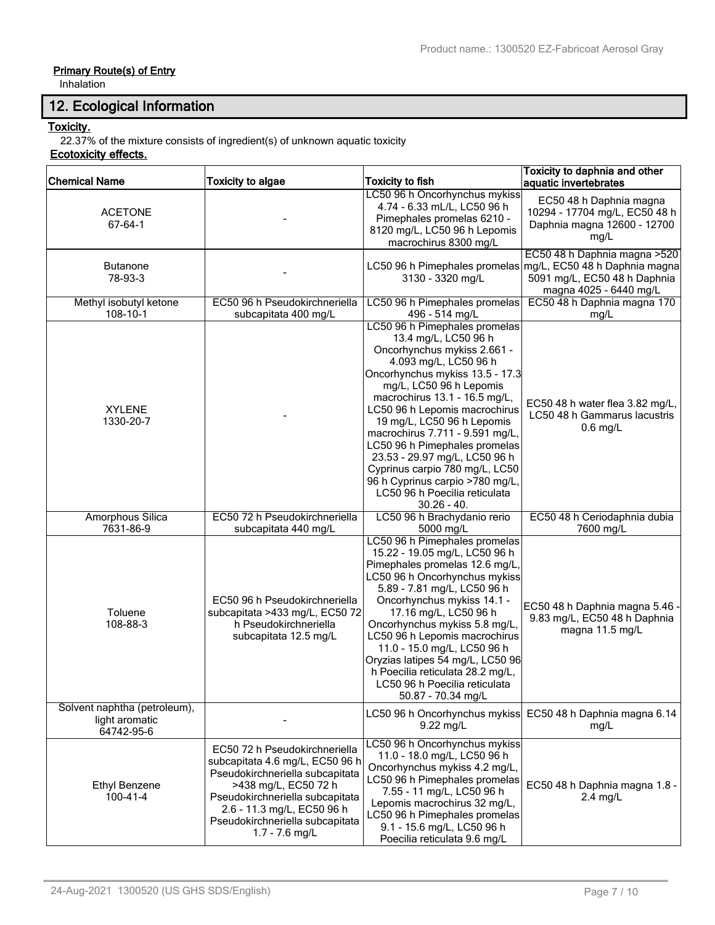### **Primary Route(s) of Entry**

Inhalation

## **12. Ecological Information**

### **Toxicity.**

22.37% of the mixture consists of ingredient(s) of unknown aquatic toxicity

### **Ecotoxicity effects.**

| <b>Chemical Name</b>                                         | <b>Toxicity to algae</b>                                                                                                                                                                                                                          | <b>Toxicity to fish</b>                                                                                                                                                                                                                                                                                                                                                                                                                                                                                 | Toxicity to daphnia and other<br>aquatic invertebrates                                                                   |
|--------------------------------------------------------------|---------------------------------------------------------------------------------------------------------------------------------------------------------------------------------------------------------------------------------------------------|---------------------------------------------------------------------------------------------------------------------------------------------------------------------------------------------------------------------------------------------------------------------------------------------------------------------------------------------------------------------------------------------------------------------------------------------------------------------------------------------------------|--------------------------------------------------------------------------------------------------------------------------|
| <b>ACETONE</b><br>$67 - 64 - 1$                              |                                                                                                                                                                                                                                                   | LC50 96 h Oncorhynchus mykiss<br>4.74 - 6.33 mL/L, LC50 96 h<br>Pimephales promelas 6210 -<br>8120 mg/L, LC50 96 h Lepomis<br>macrochirus 8300 mg/L                                                                                                                                                                                                                                                                                                                                                     | EC50 48 h Daphnia magna<br>10294 - 17704 mg/L, EC50 48 h<br>Daphnia magna 12600 - 12700<br>mg/L                          |
| <b>Butanone</b><br>78-93-3                                   |                                                                                                                                                                                                                                                   | LC50 96 h Pimephales promelas<br>3130 - 3320 mg/L                                                                                                                                                                                                                                                                                                                                                                                                                                                       | EC50 48 h Daphnia magna > 520<br>mg/L, EC50 48 h Daphnia magna<br>5091 mg/L, EC50 48 h Daphnia<br>magna 4025 - 6440 mg/L |
| Methyl isobutyl ketone<br>108-10-1                           | EC50 96 h Pseudokirchneriella<br>subcapitata 400 mg/L                                                                                                                                                                                             | LC50 96 h Pimephales promelas<br>496 - 514 mg/L                                                                                                                                                                                                                                                                                                                                                                                                                                                         | EC50 48 h Daphnia magna 170<br>mg/L                                                                                      |
| <b>XYLENE</b><br>1330-20-7                                   |                                                                                                                                                                                                                                                   | LC50 96 h Pimephales promelas<br>13.4 mg/L, LC50 96 h<br>Oncorhynchus mykiss 2.661 -<br>4.093 mg/L, LC50 96 h<br>Oncorhynchus mykiss 13.5 - 17.3<br>mg/L, LC50 96 h Lepomis<br>macrochirus 13.1 - 16.5 mg/L,<br>LC50 96 h Lepomis macrochirus<br>19 mg/L, LC50 96 h Lepomis<br>macrochirus 7.711 - 9.591 mg/L,<br>LC50 96 h Pimephales promelas<br>23.53 - 29.97 mg/L, LC50 96 h<br>Cyprinus carpio 780 mg/L, LC50<br>96 h Cyprinus carpio >780 mg/L,<br>LC50 96 h Poecilia reticulata<br>$30.26 - 40.$ | EC50 48 h water flea 3.82 mg/L,<br>LC50 48 h Gammarus lacustris<br>$0.6$ mg/L                                            |
| Amorphous Silica<br>7631-86-9                                | EC50 72 h Pseudokirchneriella<br>subcapitata 440 mg/L                                                                                                                                                                                             | LC50 96 h Brachydanio rerio<br>5000 mg/L                                                                                                                                                                                                                                                                                                                                                                                                                                                                | EC50 48 h Ceriodaphnia dubia<br>7600 mg/L                                                                                |
| Toluene<br>108-88-3                                          | EC50 96 h Pseudokirchneriella<br>subcapitata >433 mg/L, EC50 72<br>h Pseudokirchneriella<br>subcapitata 12.5 mg/L                                                                                                                                 | LC50 96 h Pimephales promelas<br>15.22 - 19.05 mg/L, LC50 96 h<br>Pimephales promelas 12.6 mg/L,<br>LC50 96 h Oncorhynchus mykiss<br>5.89 - 7.81 mg/L, LC50 96 h<br>Oncorhynchus mykiss 14.1 -<br>17.16 mg/L, LC50 96 h<br>Oncorhynchus mykiss 5.8 mg/L,<br>LC50 96 h Lepomis macrochirus<br>11.0 - 15.0 mg/L, LC50 96 h<br>Oryzias latipes 54 mg/L, LC50 96<br>h Poecilia reticulata 28.2 mg/L,<br>LC50 96 h Poecilia reticulata<br>50.87 - 70.34 mg/L                                                 | EC50 48 h Daphnia magna 5.46 -<br>9.83 mg/L, EC50 48 h Daphnia<br>magna 11.5 mg/L                                        |
| Solvent naphtha (petroleum),<br>light aromatic<br>64742-95-6 |                                                                                                                                                                                                                                                   | LC50 96 h Oncorhynchus mykiss<br>$9.22$ mg/L                                                                                                                                                                                                                                                                                                                                                                                                                                                            | EC50 48 h Daphnia magna 6.14<br>mg/L                                                                                     |
| <b>Ethyl Benzene</b><br>$100 - 41 - 4$                       | EC50 72 h Pseudokirchneriella<br>subcapitata 4.6 mg/L, EC50 96 h<br>Pseudokirchneriella subcapitata<br>>438 mg/L, EC50 72 h<br>Pseudokirchneriella subcapitata<br>2.6 - 11.3 mg/L, EC50 96 h<br>Pseudokirchneriella subcapitata<br>1.7 - 7.6 mg/L | LC50 96 h Oncorhynchus mykiss<br>11.0 - 18.0 mg/L, LC50 96 h<br>Oncorhynchus mykiss 4.2 mg/L,<br>LC50 96 h Pimephales promelas<br>7.55 - 11 mg/L, LC50 96 h<br>Lepomis macrochirus 32 mg/L,<br>LC50 96 h Pimephales promelas<br>9.1 - 15.6 mg/L, LC50 96 h<br>Poecilia reticulata 9.6 mg/L                                                                                                                                                                                                              | EC50 48 h Daphnia magna 1.8 -<br>$2.4$ mg/L                                                                              |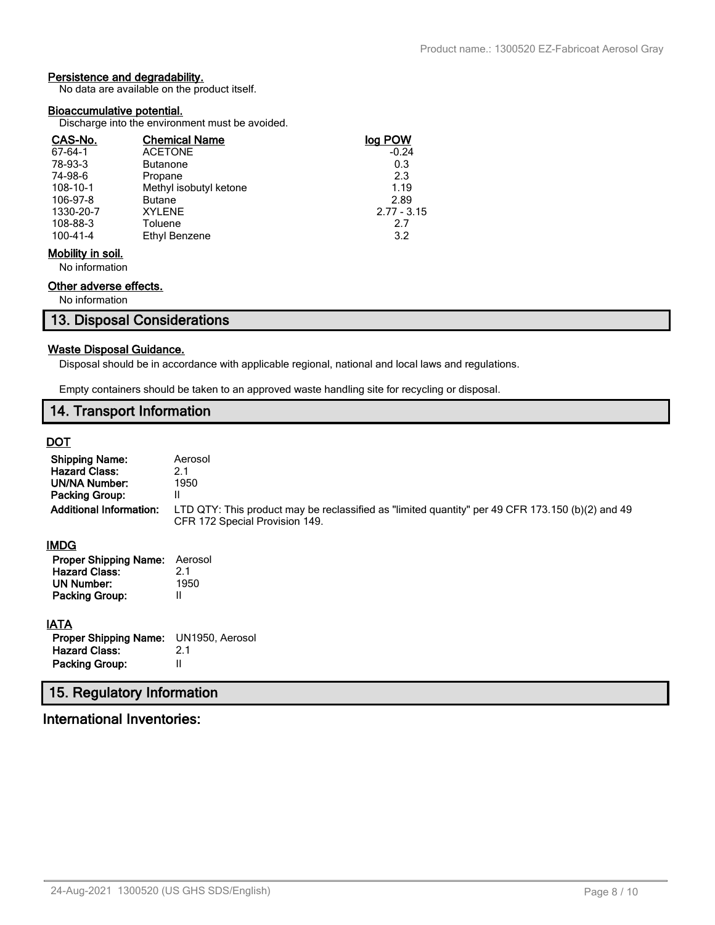### **Persistence and degradability.**

No data are available on the product itself.

#### **Bioaccumulative potential.**

Discharge into the environment must be avoided.

| CAS-No.           | <b>Chemical Name</b>   | log POW       |
|-------------------|------------------------|---------------|
| $67 - 64 - 1$     | <b>ACETONE</b>         | $-0.24$       |
| 78-93-3           | <b>Butanone</b>        | 0.3           |
| 74-98-6           | Propane                | 2.3           |
| 108-10-1          | Methyl isobutyl ketone | 1.19          |
| 106-97-8          | <b>Butane</b>          | 2.89          |
| 1330-20-7         | <b>XYLENE</b>          | $2.77 - 3.15$ |
| 108-88-3          | Toluene                | 2.7           |
| 100-41-4          | Ethyl Benzene          | 3.2           |
| Mobility in soil. |                        |               |

No information

#### **Other adverse effects.**

No information

### **13. Disposal Considerations**

#### **Waste Disposal Guidance.**

Disposal should be in accordance with applicable regional, national and local laws and regulations.

Empty containers should be taken to an approved waste handling site for recycling or disposal.

### **14. Transport Information**

### **DOT**

| <b>Shipping Name:</b><br><b>Hazard Class:</b><br>UN/NA Number:<br>Packing Group:<br><b>Additional Information:</b> | Aerosol<br>2.1<br>1950<br>II<br>LTD QTY: This product may be reclassified as "limited quantity" per 49 CFR 173.150 (b)(2) and 49<br>CFR 172 Special Provision 149. |
|--------------------------------------------------------------------------------------------------------------------|--------------------------------------------------------------------------------------------------------------------------------------------------------------------|
| IMDG                                                                                                               |                                                                                                                                                                    |
| <b>Proper Shipping Name:</b><br><b>Hazard Class:</b><br><b>UN Number:</b><br><b>Packing Group:</b>                 | Aerosol<br>2.1<br>1950<br>Ш                                                                                                                                        |
| <b>IATA</b>                                                                                                        |                                                                                                                                                                    |
| <b>Proper Shipping Name:</b>                                                                                       | UN1950, Aerosol                                                                                                                                                    |
| <b>Hazard Class:</b>                                                                                               | 2.1                                                                                                                                                                |
| Packing Group:                                                                                                     | Ш                                                                                                                                                                  |
| 15. Regulatory Information                                                                                         |                                                                                                                                                                    |

# **International Inventories:**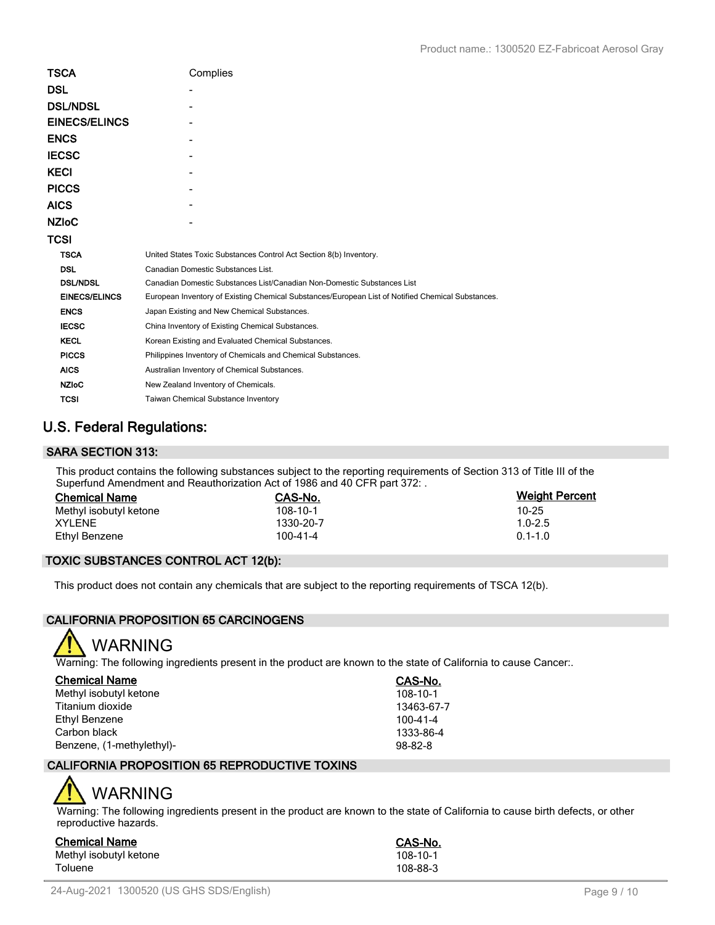| <b>TSCA</b>          | Complies                                                                                          |
|----------------------|---------------------------------------------------------------------------------------------------|
| <b>DSL</b>           |                                                                                                   |
| <b>DSL/NDSL</b>      |                                                                                                   |
| <b>EINECS/ELINCS</b> |                                                                                                   |
| <b>ENCS</b>          |                                                                                                   |
| <b>IECSC</b>         |                                                                                                   |
| <b>KECI</b>          |                                                                                                   |
| <b>PICCS</b>         |                                                                                                   |
| <b>AICS</b>          |                                                                                                   |
| <b>NZIoC</b>         |                                                                                                   |
| <b>TCSI</b>          |                                                                                                   |
| <b>TSCA</b>          | United States Toxic Substances Control Act Section 8(b) Inventory.                                |
| <b>DSL</b>           | Canadian Domestic Substances List.                                                                |
| <b>DSL/NDSL</b>      | Canadian Domestic Substances List/Canadian Non-Domestic Substances List                           |
| <b>EINECS/ELINCS</b> | European Inventory of Existing Chemical Substances/European List of Notified Chemical Substances. |
| <b>ENCS</b>          | Japan Existing and New Chemical Substances.                                                       |
| <b>IECSC</b>         | China Inventory of Existing Chemical Substances.                                                  |
| <b>KECL</b>          | Korean Existing and Evaluated Chemical Substances.                                                |
| <b>PICCS</b>         | Philippines Inventory of Chemicals and Chemical Substances.                                       |
| <b>AICS</b>          | Australian Inventory of Chemical Substances.                                                      |
| <b>NZIoC</b>         | New Zealand Inventory of Chemicals.                                                               |
| <b>TCSI</b>          | Taiwan Chemical Substance Inventory                                                               |

### **U.S. Federal Regulations:**

### **SARA SECTION 313:**

This product contains the following substances subject to the reporting requirements of Section 313 of Title III of the Superfund Amendment and Reauthorization Act of 1986 and 40 CFR part 372: .

| <b>Chemical Name</b>   | CAS-No.   | <b>Weight Percent</b> |
|------------------------|-----------|-----------------------|
| Methyl isobutyl ketone | 108-10-1  | 10-25                 |
| XYLENE                 | 1330-20-7 | $1.0 - 2.5$           |
| Ethyl Benzene          | 100-41-4  | $0.1 - 1.0$           |

### **TOXIC SUBSTANCES CONTROL ACT 12(b):**

This product does not contain any chemicals that are subject to the reporting requirements of TSCA 12(b).

### **CALIFORNIA PROPOSITION 65 CARCINOGENS**



Warning: The following ingredients present in the product are known to the state of California to cause Cancer:.

| <b>Chemical Name</b>      | CAS-No.       |
|---------------------------|---------------|
| Methyl isobutyl ketone    | 108-10-1      |
| Titanium dioxide          | 13463-67-7    |
| Ethyl Benzene             | 100-41-4      |
| Carbon black              | 1333-86-4     |
| Benzene, (1-methylethyl)- | $98 - 82 - 8$ |

### **CALIFORNIA PROPOSITION 65 REPRODUCTIVE TOXINS**

# WARNING

Warning: The following ingredients present in the product are known to the state of California to cause birth defects, or other reproductive hazards.

| Chemical Name          | <b>CAS-No.</b> |
|------------------------|----------------|
| Methyl isobutyl ketone | 108-10-1       |
| Toluene                | 108-88-3       |